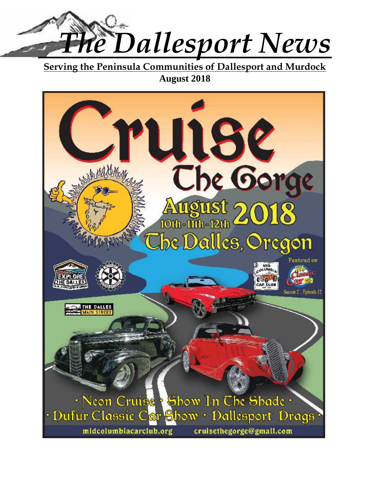

**Serving the Peninsula Communities of Dallesport and Murdock August 2018**

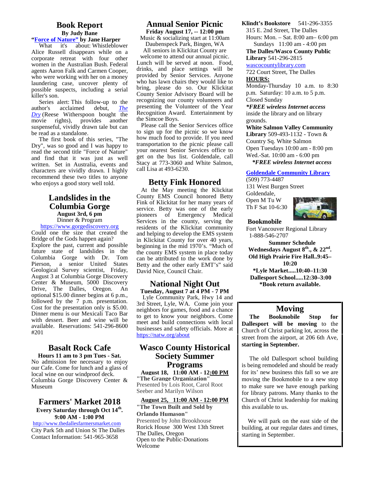# **Book Report**

#### **By Judy Bane "Force of Nature" by Jane Harper**

What it's about: Whistleblower Alice Russell disappears while on a corporate retreat with four other women in the Australian Bush. Federal agents Aaron Falk and Carmen Cooper, who were working with her on a money laundering case, uncover plenty of possible suspects, including a serial killer's son.

Series alert: This follow-up to the author's acclaimed debut, *The Dry* (Reese Witherspoon bought the movie rights), provides another suspenseful, vividly drawn tale but can be read as a standalone.

 The first book of this series, "The Dry", was so good and I was happy to read the second title "Force of Nature" and find that it was just as well written. Set in Australia, events and characters are vividly drawn. I highly recommend these two titles to anyone who enjoys a good story well told.

# **Landslides in the Columbia Gorge August 3rd, 6 pm**

Dinner & Program

https://www.gorgediscovery.org Could one the size that created the Bridge of the Gods happen again? Explore the past, current and possible future state of landslides in the Columbia Gorge with Dr. Tom Pierson, a senior United States Geological Survey scientist, Friday, August 3 at Columbia Gorge Discovery Center & Museum, 5000 Discovery Drive, The Dalles, Oregon. An optional \$15.00 dinner begins at 6 p.m., followed by the 7 p.m. presentation. Cost for the presentation only is \$5.00. Dinner menu is our Mexicali Taco Bar with dessert. Beer and wine will be available. Reservations: 541-296-8600 #201

# **Basalt Rock Cafe**

**Hours 11 am to 3 pm Tues - Sat.** No admission fee necessary to enjoy our Cafe. Come for lunch and a glass of local wine on our windproof deck. Columbia Gorge Discovery Center & Museum

#### **Farmers' Market 2018 Every Saturday through Oct 14th . 9:00 AM - 1:00 PM**

http://www.thedallesfarmersmarket.com City Park 5th and Union St The Dalles Contact Information: 541-965-3658

# **Annual Senior Picnic**

**Friday August 17, -- 12:00 pm** Music & socializing start at 11:00am Daubenspeck Park, Bingen, WA

All seniors in Klickitat County are welcome to attend our annual picnic. Lunch will be served at noon. Food, drinks, and place settings will be provided by Senior Services. Anyone who has lawn chairs they would like to bring, please do so. Our Klickitat County Senior Advisory Board will be recognizing our county volunteers and presenting the Volunteer of the Year Recognition Award. Entertainment by the Simcoe Boys.

Please call the Senior Services office to sign up for the picnic so we know how much food to provide. If you need transportation to the picnic please call your nearest Senior Services office to get on the bus list. Goldendale, call Stacy at 773-3060 and White Salmon, call Lisa at 493-6230.

# **Betty Fink Honored**

At the May meeting the Klickitat County EMS Council honored Betty Fink of Klickitat for her many years of service. Betty was one of the early pioneers of Emergency Medical Services in the county, serving the residents of the Klickitat community and helping to develop the EMS system in Klickitat County for over 40 years, beginning in the mid 1970's. "Much of the county EMS system in place today can be attributed to the work done by Betty and the other early EMT's" said David Nice, Council Chair.

#### **National Night Out Tuesday, August 7 at 4 PM - 7 PM**

 Lyle Community Park, Hwy 14 and 3rd Street, Lyle, WA. Come join your neighbors for games, food and a chance to get to know your neighbors. Come meet and build connections with local businesses and safety officials. More at https://natw.org/about

# **Wasco County Historical Society Summer Programs**

**August 18, 11:00 AM - 12:00 PM "The Grange Organization"** Presented by Lois Root, Carol Root Seeber and Marilyn Wilson

#### **August 25, 11:00 AM - 12:00 PM "The Town Built and Sold by Orlando Humason"** Presented by John Brookhouse Rorick House 300 West 13th Street The Dalles, Oregon Open to the Public-Donations Welcome

**Klindt's Bookstore** 541-296-3355

315 E. 2nd Street, The Dalles

Hours: Mon. – Sat. 8:00 am– 6:00 pm Sundays 11:00 am - 4:00 pm

**The Dalles/Wasco County Public Library** 541-296-2815

wascocountylibrary.com

722 Court Street, The Dalles **HOURS:**

Monday-Thursday 10 a.m. to 8:30 p.m. Saturday: 10 a.m. to 5 p.m. Closed Sunday

*\*FREE wireless Internet access* inside the library and on library grounds.

**White Salmon Valley Community Library** 509-493-1132 - Town & Country Sq. White Salmon Open Tuesdays 10:00 am - 8:00 pm Wed.-Sat. 10:00 am - 6:00 pm  *\*FREE wireless Internet access*

# **Goldendale Community Library**

(509) 773-4487

Th F Sat 10-6:30

131 West Burgen Street Goldendale, Open M Tu W



#### **Bookmobile**

Fort Vancouver Regional Library 1-888-546-2707

**Summer Schedule Wednesdays August 8th., & 22nd . Old High Prairie Fire Hall..9:45– 10:20 \*Lyle Market.....10:40–11:30 Dallesport School.....12:30–3:00**

**\*Book return available.**

# **Moving**

**The Bookmobile Stop for Dallesport will be moving** to the Church of Christ parking lot, across the street from the airport, at 206 6th Ave, **starting in September.**

The old Dallesport school building is being remodeled and should be ready for its' new business this fall so we are moving the Bookmobile to a new stop to make sure we have enough parking for library patrons. Many thanks to the Church of Christ leadership for making this available to us.

We will park on the east side of the building, at our regular dates and times, starting in September.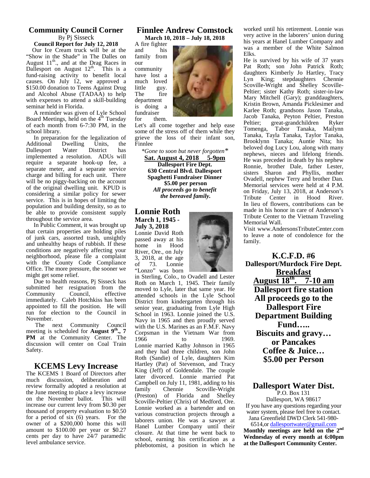## **Community Council Corner** By Pj Sisseck

**Council Report for July 12, 2018** Our Ice Cream truck will be at the "Show in the Shade" in The Dalles on August  $11^{th}$ ., and at the Drag Races in our Dallesport on August  $12^{th}$ . This is a com fund-raising activity to benefit local

causes. On July 12, we approved a \$150.00 donation to Teens Against Drug little<br>and Alcohol Abuse (TADAA) to help The and Alcohol Abuse (TADAA) to help with expenses to attend a skill-building seminar held in Florida.

A reminder was given of Lyle School functional function of  $4<sup>th</sup>$  Tuesday for Board Meetings, held on the 4<sup>th</sup> Tuesday of each month from 6-7:30 PM, in the school library.

In preparation for the legalization of<br>Additional Dwelling Units, the Dwelling Units, the<br>Water District has Dallesport implemented a resolution. ADUs will require a separate hook-up fee, a separate meter, and a separate service charge and billing for each unit. There will be no piggy-backing on the account of the original dwelling unit. KPUD is considering a similar policy for sewer service. This is in hopes of limiting the population and building density, so as to be able to provide consistent supply throughout the service area.

In Public Comment, it was brought up that certain properties are holding piles of junk cars, assorted trash, unsightly and unhealthy heaps of rubbish. If these home conditions are negatively affecting your neighborhood, please file a complaint with the County Code Compliance Office. The more pressure, the sooner we might get some relief.

Due to health reasons, Pj Sisseck has submitted her resignation from the Community Council, effective immediately. Caleb Hotchkiss has been appointed to fill the position. He will run for election to the Council in November.

The next Community Council meeting is scheduled for **August 9th PM** at the Community Center. The 1966 **PM** at the Community Center. The  $1966$  discussion will center on Coal Train  $\tau$ Safety.

# **KCEMS Levy Increase**

The KCEMS 1 Board of Directors after much discussion, deliberation and review formally adopted a resolution at family the June meeting to place a levy increase<br>on the November ballot. This will  $(\text{Prestil}_n)$ on the November ballot. increase our current levy from \$0.30 per thousand of property evaluation to \$0.50 for a period of six  $(6)$  years. For the  $\frac{\text{van}}{\text{label}}$ owner of a \$200,000 home this will  $\frac{16}{11}$ amount to \$100.00 per year or \$0.27 cents per day to have 24/7 paramedic level ambulance service.

#### **Finnlee Andrew Comstock March 10, 2018 – July 18, 2018**

A fire fighter and his family from our

community have lost a much loved little guy. fire department is doing a fundraiser them.



Let's all come together and help ease  $\Gamma$  Peltier; some of the stress off of them while they grieve the loss of their infant son, Finnlee

*\*Gone to soon but never forgotten\**

**Sat. August 4, 2018 5-9pm Dallesport Fire Dept. 630 Central Blvd. Dallesport Spaghetti Fundraiser Dinner \$5.00 per person** *All proceeds go to benefit the bereaved family.*

#### **Lonnie Roth March 1, 1945 - July 3, 2018**

Lonnie David Roth passed away at his home in Hood River, Ore., on July 3, 2018, at the age of 73. Lonnie "Lonzo" was born



**., 7** Corpsman in the Vietnam War from **Bise** in Sterling, Colo., to Ovadell and Lester Roth on March 1, 1945. Their family moved to Lyle, later that same year. He attended schools in the Lyle School District from kindergarten through his senior year, graduating from Lyle High School in 1963. Lonnie joined the U.S. Navy in 1965 and then proudly served with the U.S. Marines as an F.M.F. Navy to 1969. Lonnie married Kathy Johnson in 1965 and they had three children, son John Roth (Sandie) of Lyle, daughters Kim Hartley (Pat) of Stevenson, and Tracy King (Jeff) of Goldendale. The couple later divorced. Lonnie married Pat Campbell on July 11, 1981, adding to his<br>family Chennie Scoville-Wright Scoville-Wright of Florida and Shelley Scoville-Peltier (Chris) of Medford, Ore. Lonnie worked as a bartender and on various construction projects through a laborers union. He was a sawyer at Hanel Lumber Company until their closure. At that time he went back to school, earning his certification as a phlebotomist, a position in which he

worked until his retirement. Lonnie was very active in the laborers' union during his years at Hanel Lumber Company and was a member of the White Salmon Elks.

He is survived by his wife of 37 years Pat Roth; son John Patrick Roth; daughters Kimberly Jo Hartley, Tracy Lyn King; stepdaughters Chennie Scoville-Wright and Shelley Scoville-Peltier; sister Kathy Roth; sister-in-law Mary Mitchell (Gary); granddaughters, Kristin Brown, Amanda Picklesimer and Karlee Roth; grandsons Jason Tanaka, Jacob Tanaka, Peyton Peltier, Preston great-grandchildren Ryker Tomenga, Tabor Tanaka, Mailynn Tanaka, Tayla Tanaka, Taylor Tanaka, Brooklynn Tanaka; Auntie Nita; his beloved dog Lucy Lou, along with many nephews, nieces and lifelong friends. He was preceded in death by his nephew Ronnie, brother Dale, father Lester, sisters Sharon and Phyllis, mother Ovadell, nephew Terry and brother Dan. Memorial services were held at 4 P.M. on Friday, July 13, 2018, at Anderson's Tribute Center in Hood River. In lieu of flowers, contributions can be made in his honor in care of Anderson's Tribute Center to the Vietnam Traveling Memorial Wall.

Visit www.AndersonsTributeCenter.com to leave a note of condolence for the family.

**K.C.F.D. #6 Dallesport/Murdock Fire Dept. Breakfast August 18th . 7-10 am Dallesport fire station All proceeds go to the Dallesport Fire Department Building Fund….. Biscuits and gravy… or Pancakes Coffee & Juice… \$5.00 per Person**

# **Dallesport Water Dist.**

P.O. Box 131 Dallesport, WA 98617 If you have any questions regarding your water system, please feel free to contact. Jana Greenfield DWD Clerk 541-980-

6514,or dallesportwater@gmail.com **Monthly meetings are held on the 2nd Wednesday of every month at 6:00pm at the Dallesport Community Center.**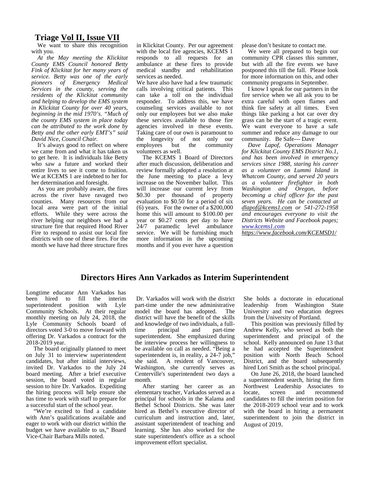# **Triage Vol II, Issue VII**

We want to share this recognition with you.

*At the May meeting the Klickitat County EMS Council honored Betty Fink of Klickitat for her many years of service. Betty was one of the early pioneers of Emergency Medical Services in the county, serving the residents of the Klickitat community and helping to develop the EMS system in Klickitat County for over 40 years, beginning in the mid 1970's. "Much of the county EMS system in place today can be attributed to the work done by Betty and the other early EMT's" said David Nice, Council Chair.*

It's always good to reflect on where we came from and what it has taken us to get here. It is individuals like Betty who saw a future and worked their entire lives to see it come to fruition. We at KCEMS 1 are indebted to her for her determination and foresight.

As you are probably aware, the fires across the river have ravaged two counties. Many resources from our local area were part of the initial efforts. While they were across the river helping our neighbors we had a structure fire that required Hood River Fire to respond to assist our local fire districts with one of these fires. For the month we have had three structure fires in Klickitat County. Per our agreement with the local fire agencies, KCEMS 1 responds to all requests for an ambulance at these fires to provide medical standby and rehabilitation services as needed.

We have also have had a few traumatic calls involving critical patients. This can take a toll on the individual responder. To address this, we have counseling services available to not only our employees but we also make these services available to those fire agencies involved in these events. Taking care of our own is paramount to the longevity of not only our<br>employees but the community employees but the volunteers as well.

The KCEMS 1 Board of Directors after much discussion, deliberation and review formally adopted a resolution at the June meeting to place a levy increase on the November ballot. This will increase our current levy from \$0.30 per thousand of property evaluation to \$0.50 for a period of six (6) years. For the owner of a \$200,000 home this will amount to \$100.00 per year or \$0.27 cents per day to have 24/7 paramedic level ambulance service. We will be furnishing much more information in the upcoming months and if you ever have a question please don't hesitate to contact me.

We were all prepared to begin our community CPR classes this summer, but with all the fire events we have postponed this till the fall. Please look for more information on this, and other community programs in September.

I know I speak for our partners in the fire service when we all ask you to be extra careful with open flames and think fire safety at all times. Even things like parking a hot car over dry grass can be the start of a tragic event. We want everyone to have a safe summer and reduce any damage to our community. Be Safe--- Dave

*Dave Lapof, Operations Manager for Klickitat County EMS District No.1, and has been involved in emergency services since 1988, staring his career as a volunteer on Lummi Island in Whatcom County, and served 20 years as a volunteer firefighter in both Washington and Oregon, before becoming a chief officer for the past seven years. He can be contacted at dlapof@kcems1.com or 541-272-1958 and encourages everyone to visit the Districts Website and Facebook pages; www.kcems1.com*

*https://www.facebook.com/KCEMSD1/*

## **Directors Hires Ann Varkados as Interim Superintendent**

Longtime educator Ann Varkados has been hired to fill the interim superintendent position with Lyle Community Schools. At their regular monthly meeting on July 24, 2018, the Lyle Community Schools board of directors voted 3-0 to move forward with offering Dr. Varkados a contract for the 2018-2019 year.

 The board originally planned to meet on July 31 to interview superintendent candidates, but after initial interviews, invited Dr. Varkados to the July 24 board meeting. After a brief executive session, the board voted in regular session to hire Dr. Varkados. Expediting the hiring process will help ensure she has time to work with staff to prepare for a successful start of the school year.

 "We're excited to find a candidate with Ann's qualifications available and eager to work with our district within the budget we have available to us," Board Vice-Chair Barbara Mills noted.

 Dr. Varkados will work with the district part-time under the new administrative<br>model the board has adopted. The model the board has adopted. district will have the benefit of the skills and knowledge of two individuals, a fullprincipal and part-time superintendent. She emphasized during the interview process her willingness to be available on call as needed. "Being a superintendent is, in reality, a 24-7 job," she said. A resident of Vancouver, Washington, she currently serves as Centerville's superintendent two days a month.

 After starting her career as an elementary teacher, Varkados served as a principal for schools in the Kalama and Bethel School Districts. She was later hired as Bethel's executive director of curriculum and instruction and, later, assistant superintendent of teaching and learning. She has also worked for the state superintendent's office as a school improvement effort specialist.

She holds a doctorate in educational leadership from Washington State University and two education degrees from the University of Portland.

 This position was previously filled by Andrew Kelly, who served as both the superintendent and principal of the school. Kelly announced on June 13 that he had accepted the Superintendent position with North Beach School District, and the board subsequently hired Lori Smith as the school principal.

On June 26, 2018, the board launched a superintendent search, hiring the firm Northwest Leadership Associates to<br>locate, screen and recommend and recommend candidates to fill the interim position for the 2018-2019 school year and to work with the board in hiring a permanent superintendent to join the district in August of 2019.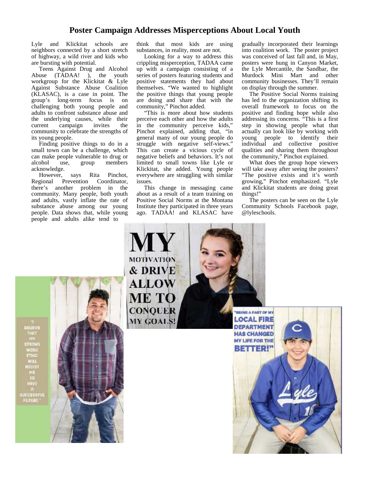# **Poster Campaign Addresses Misperceptions About Local Youth**

Lyle and Klickitat schools are neighbors connected by a short stretch of highway, a wild river and kids who are bursting with potential.

Teens Against Drug and Alcohol Abuse (TADAA! ), the youth workgroup for the Klickitat & Lyle Against Substance Abuse Coalition (KLASAC), is a case in point. The group's long-term focus is on challenging both young people and adults to confront substance abuse and the underlying causes, while their<br>current campaign invites the campaign invites the community to celebrate the strengths of its young people.

Finding positive things to do in a small town can be a challenge, which can make people vulnerable to drug or alcohol use, group members acknowledge.

However, says Rita Pinchot, Regional Prevention Coordinator, there's another problem in the community. Many people, both youth and adults, vastly inflate the rate of substance abuse among our young people. Data shows that, while young people and adults alike tend to

think that most kids are using substances, in reality, most are not.

Looking for a way to address this crippling misperception, TADAA came up with a campaign consisting of a series of posters featuring students and positive statements they had about themselves. "We wanted to highlight the positive things that young people are doing and share that with the community," Pinchot added.

"This is more about how students perceive each other and how the adults in the community perceive kids," Pinchot explained, adding that, "in general many of our young people do struggle with negative self-views." This can create a vicious cycle of negative beliefs and behaviors. It's not limited to small towns like Lyle or Klickitat, she added. Young people everywhere are struggling with similar issues.

This change in messaging came about as a result of a team training on Positive Social Norms at the Montana Institute they participated in three years ago. TADAA! and KLASAC have gradually incorporated their learnings into coalition work. The poster project was conceived of last fall and, in May, posters were hung in Canyon Market, the Lyle Mercantile, the Sandbar, the Murdock Mini Mart and other community businesses. They'll remain on display through the summer.

The Positive Social Norms training has led to the organization shifting its overall framework to focus on the positive and finding hope while also addressing its concerns. "This is a first step in showing people what that actually can look like by working with young people to identify their individual and collective positive qualities and sharing them throughout the community," Pinchot explained.

What does the group hope viewers will take away after seeing the posters? "The positive exists and it's worth growing," Pinchot emphasized. "Lyle and Klickitat students are doing great things!"

The posters can be seen on the Lyle Community Schools Facebook page, @lyleschools.

**THEINE A PART OF MY LOCAL FIRE** 

**DEPARTMENT** 

**HAS CHANGED MY LIFE FOR THE BETTER!"** 

MOTIVATION **& DRIVE ALLOW** ME TO **CONQUER** MY GOALS!

BELIEVE THAT<br>NY<br>STRONG<br>WORK<br>ETHIC **WILL** RSSIST<br>ME<br>TO HAVE n<br>SUCCESSFUL<br>FUTURE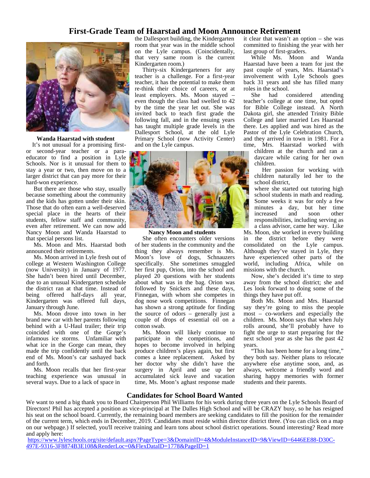# **First-Grade Team of Haarstad and Moon Announce Retirement**



#### **Wanda Haarstad with student**

It's not unusual for a promising first or second-year teacher or a para educator to find a position in Lyle Schools. Nor is it unusual for them to stay a year or two, then move on to a larger district that can pay more for their hard-won experience.

But there are those who stay, usually because something about the community and the kids has gotten under their skin. Those that do often earn a well-deserved special place in the hearts of their students, fellow staff and community, even after retirement. We can now add Nancy Moon and Wanda Haarstad to that special persons list.

Ms. Moon and Mrs. Haarstad both announced their retirements.

Ms. Moon arrived in Lyle fresh out of college at Western Washington College (now University) in January of 1977. She hadn't been hired until December, due to an unusual Kindergarten schedule the district ran at that time. Instead of being offered half-days all year, Kindergarten was offered full days, January through June.

Ms. Moon drove into town in her brand new car with her parents following behind with a U-Haul trailer; their trip coincided with one of the Gorge's infamous ice storms. Unfamiliar with what ice in the Gorge can mean, they made the trip confidently until the back end of Ms. Moon's car sashayed back and forth.

Ms. Moon recalls that her first-year teaching experience was unusual in several ways. Due to a lack of space in

the Dallesport building, the Kindergarten room that year was in the middle school on the Lyle campus. (Coincidentally, that very same room is the current Kindergarten room.)

Thirty-six Kindergarteners for any teacher is a challenge. For a first-year teacher, it has the potential to make them re-think their choice of careers, or at least employers. Ms. Moon stayed – even though the class had swelled to 42 by the time the year let out. She was invited back to teach first grade the following fall, and in the ensuing years has taught multiple grade levels in the Dallesport School, at the old Lyle Primary School (now Activity Center) and on the Lyle campus.



#### **Nancy Moon and students**

She often encounters older versions of her students in the community and the thing they always remember is Ms. Moon's love of dogs, Schnauzers specifically. She sometimes smuggled her first pup, Orion, into the school and played 20 questions with her students about what was in the bag. Orion was followed by Snickers and these days, Finnegan, with whom she competes in dog nose work competitions. Finnegan has shown a strong aptitude for finding the source of odors – generally just a couple of drops of essential oil on a cotton swab.

Ms. Moon will likely continue to participate in the competitions, and hopes to become involved in helping produce children's plays again, but first comes a knee replacement. Asked by her doctor why she didn't have the surgery in April and use up her accumulated sick leave and vacation time, Ms. Moon's aghast response made it clear that wasn't an option – she was committed to finishing the year with her last group of first-graders.

While Ms. Moon and Wanda Haarstad have been a team for just the past couple of years, Mrs. Haarstad's involvement with Lyle Schools goes back 31 years and she has filled many roles in the school.

She had considered attending teacher's college at one time, but opted for Bible College instead. A North Dakota girl, she attended Trinity Bible College and later married Les Haarstad there. Les applied and was hired as the Pastor of the Lyle Celebration Church, and they arrived in town in 1981. For a time, Mrs. Haarstad worked with

children at the church and ran a daycare while caring for her own children.

Her passion for working with children naturally led her to the school district,

where she started out tutoring high school students in math and reading. Some weeks it was for only a few minutes a day, but her time<br>increased and soon other increased and soon other responsibilities, including serving as a class advisor, came her way. Like

Ms. Moon, she worked in every building in the district before they were consolidated on the Lyle campus. Although they've stayed in Lyle, they have experienced other parts of the world, including Africa, while on missions with the church.

Now, she's decided it's time to step away from the school district; she and Les look forward to doing some of the things they have put off.

Both Ms. Moon and Mrs. Haarstad say they're going to miss the people most – co-workers and especially the children. Ms. Moon says that when July rolls around, she'll probably have to fight the urge to start preparing for the next school year as she has the past 42 years.

"This has been home for a long time," they both say. Neither plans to relocate anywhere else anytime soon, and, as always, welcome a friendly word and sharing happy memories with former students and their parents.

#### **Candidates for School Board Wanted**

We want to send a big thank you to Board Chairperson Phil Williams for his work during three years on the Lyle Schools Board of Directors! Phil has accepted a position as vice-principal at The Dalles High School and will be CRAZY busy, so he has resigned his seat on the school board. Currently, the remaining board members are seeking candidates to fill the position for the remainder of the current term, which ends in December, 2019. Candidates must reside within director district three. (You can click on a map on our webpage.) If selected, you'll receive training and learn tons about school district operations. Sound interesting? Read more and apply here:

https://www.lyleschools.org/site/default.aspx?PageType=3&DomainID=4&ModuleInstanceID=9&ViewID=6446EE88-D30C- 497E-9316-3F8874B3E108&RenderLoc=0&FlexDataID=1778&PageID=1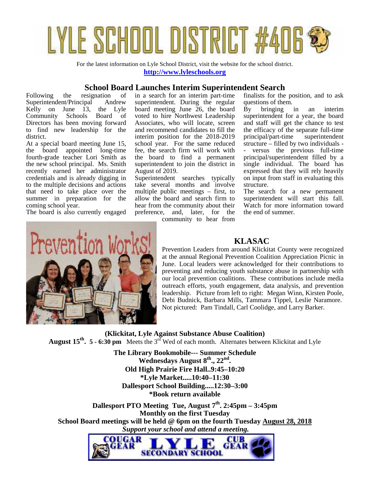

For the latest information on Lyle School District, visit the website for the school district. **http://www.lyleschools.org**

## **School Board Launches Interim Superintendent Search**

Following the resignation of Superintendent/Principal Andrew Kelly on June 13, the Lyle<br>Community Schools Board of Community Directors has been moving forward to find new leadership for the district.

At a special board meeting June 15, the board appointed long-time fourth-grade teacher Lori Smith as the new school principal. Ms. Smith recently earned her administrator credentials and is already digging in to the multiple decisions and actions that need to take place over the summer in preparation for the coming school year.

The board is also currently engaged

in a search for an interim part-time superintendent. During the regular board meeting June 26, the board voted to hire Northwest Leadership Associates, who will locate, screen and recommend candidates to fill the interim position for the 2018-2019 school year. For the same reduced fee, the search firm will work with the board to find a permanent superintendent to join the district in August of 2019.

Superintendent searches typically take several months and involve multiple public meetings – first, to allow the board and search firm to hear from the community about their preference, and, later, for the

community to hear from

finalists for the position, and to ask questions of them.

bringing in an interim superintendent for a year, the board and staff will get the chance to test the efficacy of the separate full-time principal/part-time superintendent structure – filled by two individuals versus the previous full-time principal/superintendent filled by a single individual. The board has expressed that they will rely heavily on input from staff in evaluating this structure.

The search for a new permanent superintendent will start this fall. Watch for more information toward the end of summer.



# **KLASAC**

Prevention Leaders from around Klickitat County were recognized at the annual Regional Prevention Coalition Appreciation Picnic in June. Local leaders were acknowledged for their contributions to preventing and reducing youth substance abuse in partnership with our local prevention coalitions. These contributions include media outreach efforts, youth engagement, data analysis, and prevention leadership. Picture from left to right: Megan Winn, Kirsten Poole, Debi Budnick, Barbara Mills, Tammara Tippel, Leslie Naramore. Not pictured: Pam Tindall, Carl Coolidge, and Larry Barker.

**(Klickitat, Lyle Against Substance Abuse Coalition) August 15th . 5 - 6:30 pm** Meets the 3rd Wed of each month. Alternates between Klickitat and Lyle

> **The Library Bookmobile--- Summer Schedule Wednesdays August 8 th., 22 nd . Old High Prairie Fire Hall..9:45–10:20 \*Lyle Market.....10:40–11:30 Dallesport School Building.....12:30–3:00 \*Book return available**

**Dallesport PTO Meeting Tue, August 7th . 2:45pm – 3:45pm Monthly on the first Tuesday School Board meetings will be held @ 6pm on the fourth Tuesday August 28, 2018**  *Support your school and attend a meeting.*

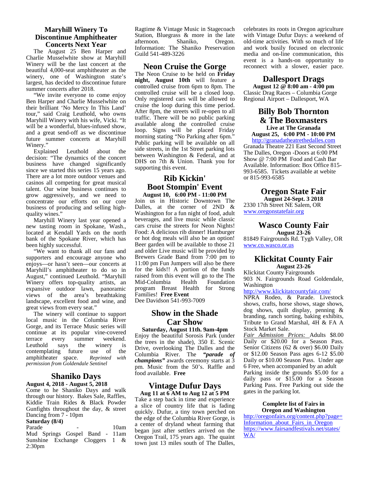#### **Maryhill Winery To Discontinue Amphitheater Concerts Next Year**

 The August 25 Ben Harper and Charlie Musselwhite show at Maryhill Winery will be the last concert at the beautiful 4,000-seat amphitheater as the winery, one of Washington state's largest, has decided to discontinue future summer concerts after 2018.

 "We invite everyone to come enjoy Ben Harper and Charlie Musselwhite on their brilliant 'No Mercy In This Land' tour," said Craig Leuthold, who owns Maryhill Winery with his wife, Vicki. "It will be a wonderful, blues-infused show, and a great send-off as we discontinue future summer concerts at Maryhill Winery."

 Explained Leuthold about the decision: "The dynamics of the concert business have changed significantly since we started this series 15 years ago. There are a lot more outdoor venues and casinos all competing for great musical talent. Our wine business continues to grow aggressively, and we need to concentrate our efforts on our core business of producing and selling high quality wines."

 Maryhill Winery last year opened a new tasting room in Spokane, Wash., located at Kendall Yards on the north bank of the Spokane River, which has been highly successful.

 "We want to thank all our fans and supporters and encourage anyone who enjoys—or hasn't seen—our concerts at Maryhill's amphitheater to do so in August," continued Leuthold. "Maryhill Winery offers top-quality artists, an expansive outdoor lawn, panoramic views of the area's breathtaking landscape, excellent food and wine, and great views from every seat."

 The winery will continue to support local music in the Columbia River Gorge, and its Terrace Music series will continue at its popular vine-covered terrace every summer weekend.<br>Leuthold says the winery is Leuthold says the winery is<br>contemplating future use of the contemplating future use of the<br>amphitheater space. Reprinted with amphitheater space. *permission from Goldendale Sentinel*

#### **Shaniko Days August 4, 2018 - August 5, 2018**

Come to he Shaniko Days and walk through our history. Bakes Sale, Raffles, Kiddie Train Rides & Black Powder Gunfights throughout the day, & street Dancing from 7 - 10pm

#### **Saturday (8/4)**

Parade - 10am Mud Springs Gospel Band - 11am Sunshine Exchange Cloggers 1 & 2:30pm

Ragtime & Vintage Music in Stagecoach Station, Bluegrass & more in the late afternoon. Shaniko. Oregon. afternoon. Information: The Shaniko Preservation Guild 541-489-3226

#### **Neon Cruise the Gorge**

The Neon Cruise to be held on **Friday night, August 10th** will feature a controlled cruise from 6pm to 8pm. The controlled cruise will be a closed loop. Only registered cars will be allowed to cruise the loop during this time period. After 8pm, the streets will re-open to all traffic. There will be no public parking available along the controlled cruise loop. Signs will be placed Friday morning stating "No Parking after 6pm." Public parking will be available on all side streets, in the 1st Street parking lots between Washington & Federal, and at DHS on 7th & Union. Thank you for supporting this event.

#### **Rib Kickin' Boot Stompin' Event August 10, 6:00 PM - 11:00 PM**

Join us in Historic Downtown The Dalles, at the corner of 2ND & Washington for a fun night of food, adult beverages, and live music while classic cars cruise the streets for Neon Nights! Food: A delicious rib dinner! Hamburger or hot dog meals will also be an option! Beer garden will be available to those 21 and older Live music will be provided by Brewers Grade Band from 7:00 pm to 11:00 pm Fun Jumpers will also be there for the kids!! A portion of the funds raised from this event will go to the The<br>Mid-Columbia Health Foundation Mid-Columbia program Breast Health for Strong Families! **Free Event**

Dee Davidson 541-993-7009

# **Show in the Shade Car Show**

**Saturday, August 11th. 9am-4pm** Enjoy the beautiful Sorosis Park (under the trees in the shade), 350 E. Scenic Drive, overlooking The Dalles and the Columbia River. The *"parade of champions"* awards ceremony starts at 3 pm. Music from the 50's. Raffle and food available. **Free**

# **Vintage Dufur Days**

**Aug 11 at 6 AM to Aug 12 at 5 PM** Take a step back in time and experience a slice of country life that is fading quickly. Dufur, a tiny town perched on the edge of the Columbia River Gorge, is a center of dryland wheat farming that began just after settlers arrived on the Oregon Trail, 175 years ago. The quaint town just 13 miles south of The Dalles,

celebrates its roots in Oregon agriculture with Vintage Dufur Days: a weekend of old-time activities. With so much of life and work busily focused on electronic media and on-line communication, this event is a hands-on opportunity to reconnect with a slower, easier pace.

#### **Dallesport Drags**

**August 12 @ 8:00 am - 4:00 pm** Classic Drag Races – Columbia Gorge Regional Airport – Dallesport, WA

#### **Billy Bob Thornton & The Boxmasters Live at The Granada August 25, 6:00 PM - 10:00 PM**

http://granadatheatrethedalles.com Granada Theatre 221 East Second Street The Dalles, Oregon -Doors at 6:00 PM Show @ 7:00 PM Food and Cash Bar Available. Information: Box Office 815- 993-6585. Tickets available at webite or 815-993-6585

# **Oregon State Fair**

**August 24-Sept. 3 2018** 2330 17th Street NE Salem, OR www.oregonstatefair.org

# **Wasco County Fair**

**August 23-26** 81849 Fairgrounds Rd. Tygh Valley, OR www.co.wasco.or.us

#### **Klickitat County Fair August 23-26**

Klickitat County Fairgrounds

903 N. Fairgrounds Road Goldendale, Washington

#### http://www.klickitatcountyfair.com/

NPRA Rodeo, & Parade. Livestock shows, crafts, horse shows, stage shows, dog shows, quilt display, penning & branding, ranch sorting, baking exhibits, Tribute to Grand Marshal, 4H & FA A Stock Market Sale.

*Fair Admission Prices:* Adults \$8.00 Daily or \$20.00 for a Season Pass. Senior Citizens (62 & over) \$6.00 Daily or \$12.00 Season Pass ages 6-12 \$5.00 Daily or \$10.00 Season Pass. Under age 6 Free, when accompanied by an adult Parking inside the grounds \$5.00 for a daily pass or \$15.00 for a Season Parking Pass. Free Parking out side the

#### **Complete list of Fairs in Oregon and Washington**

gates in the parking lot.

http://oregonfairs.org/content.php?page= Information about Fairs in Oregon https://www.fairsandfestivals.net/states/ WA/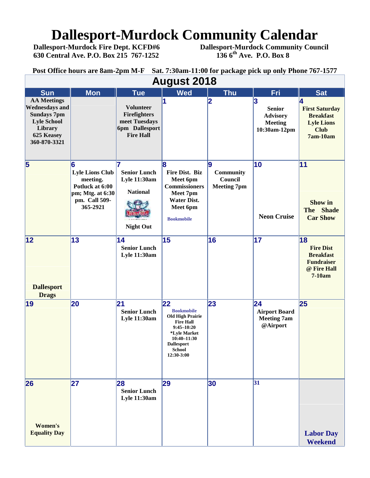# **Dallesport-Murdock Community Calendar**<br>Dallesport-Murdock Fire Dept. KCFD#6 Dallesport-Murdock Community Cour

 **630 Central Ave. P.O. Box 215 767-1252 136 6th Ave. P.O. Box 8**

 **Dallesport-Murdock Fire Dept. KCFD#6 Dallesport-Murdock Community Council**

**Post Office hours are 8am-2pm M-F Sat. 7:30am-11:00 for package pick up only Phone 767-1577**

| <b>August 2018</b>                                                                                                               |                                                                                                             |                                                                                                |                                                                                                                                                                      |                                                  |                                                                         |                                                                                            |  |  |  |
|----------------------------------------------------------------------------------------------------------------------------------|-------------------------------------------------------------------------------------------------------------|------------------------------------------------------------------------------------------------|----------------------------------------------------------------------------------------------------------------------------------------------------------------------|--------------------------------------------------|-------------------------------------------------------------------------|--------------------------------------------------------------------------------------------|--|--|--|
| <b>Sun</b>                                                                                                                       | <b>Mon</b>                                                                                                  | <b>Tue</b>                                                                                     | <b>Wed</b>                                                                                                                                                           | <b>Thu</b>                                       | <b>Fri</b>                                                              | <b>Sat</b>                                                                                 |  |  |  |
| <b>AA Meetings</b><br><b>Wednesdays and</b><br><b>Sundays 7pm</b><br><b>Lyle School</b><br>Library<br>625 Keasey<br>360-870-3321 |                                                                                                             | <b>Volunteer</b><br><b>Firefighters</b><br>meet Tuesdays<br>6pm Dallesport<br><b>Fire Hall</b> |                                                                                                                                                                      | $\overline{\mathbf{2}}$                          | 3<br><b>Senior</b><br><b>Advisory</b><br><b>Meeting</b><br>10:30am-12pm | <b>First Saturday</b><br><b>Breakfast</b><br><b>Lyle Lions</b><br><b>Club</b><br>7am-10am  |  |  |  |
| $\overline{\mathbf{5}}$                                                                                                          | 6<br><b>Lyle Lions Club</b><br>meeting.<br>Potluck at 6:00<br>pm; Mtg. at 6:30<br>pm. Call 509-<br>365-2921 | <b>Senior Lunch</b><br><b>Lyle 11:30am</b><br><b>National</b><br><b>Night Out</b>              | 8<br><b>Fire Dist. Biz</b><br>Meet 6pm<br><b>Commissioners</b><br>Meet 7pm<br><b>Water Dist.</b><br>Meet 6pm<br><b>Bookmobile</b>                                    | l9<br>Community<br>Council<br><b>Meeting 7pm</b> | 10<br><b>Neon Cruise</b>                                                | 11<br><b>Show in</b><br>The Shade<br><b>Car Show</b>                                       |  |  |  |
| 12 <br><b>Dallesport</b><br><b>Drags</b>                                                                                         | 13                                                                                                          | 14<br><b>Senior Lunch</b><br>Lyle 11:30am                                                      | 15                                                                                                                                                                   | 16                                               | 17                                                                      | 18<br><b>Fire Dist</b><br><b>Breakfast</b><br><b>Fundraiser</b><br>@ Fire Hall<br>$7-10am$ |  |  |  |
| 19                                                                                                                               | 20                                                                                                          | 21<br><b>Senior Lunch</b><br><b>Lyle 11:30am</b>                                               | 22<br><b>Bookmobile</b><br><b>Old High Prairie</b><br><b>Fire Hall</b><br>$9:45 - 10:20$<br>*Lyle Market<br>10:40-11:30<br>Dallesport<br><b>School</b><br>12:30-3:00 | 23                                               | 24 <br><b>Airport Board</b><br><b>Meeting 7am</b><br>@Airport           | 25                                                                                         |  |  |  |
| 26                                                                                                                               | 27                                                                                                          | 28<br><b>Senior Lunch</b><br><b>Lyle 11:30am</b>                                               | 29                                                                                                                                                                   | 30                                               | 31                                                                      |                                                                                            |  |  |  |
| Women's<br><b>Equality Day</b>                                                                                                   |                                                                                                             |                                                                                                |                                                                                                                                                                      |                                                  |                                                                         | <b>Labor Day</b><br><b>Weekend</b>                                                         |  |  |  |